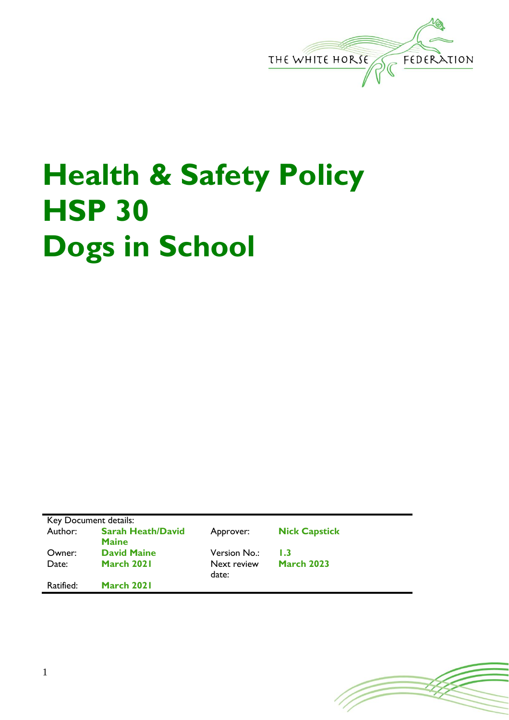

## **Health & Safety Policy HSP 30 Dogs in School**

| Key Document details: |                                          |                      |                      |
|-----------------------|------------------------------------------|----------------------|----------------------|
| Author:               | <b>Sarah Heath/David</b><br><b>Maine</b> | Approver:            | <b>Nick Capstick</b> |
| Owner:                | <b>David Maine</b>                       | Version No.:         | I .3                 |
| Date:                 | March 2021                               | Next review<br>date: | <b>March 2023</b>    |
| Ratified:             | March 2021                               |                      |                      |

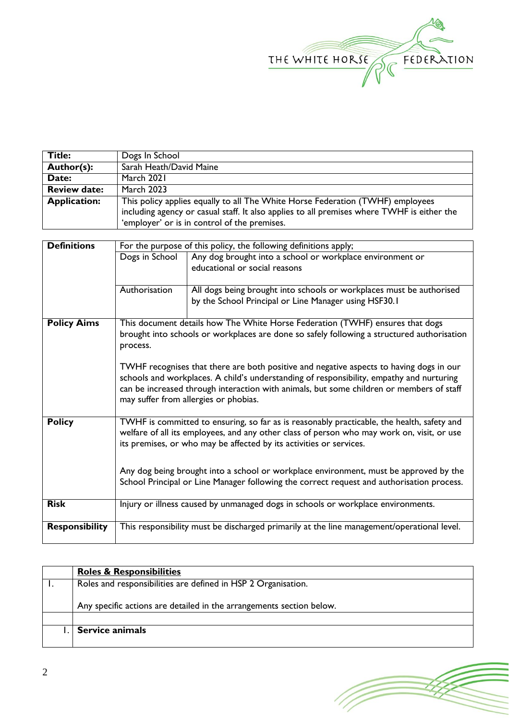

| <b>Title:</b>       | Dogs In School                                                                             |  |
|---------------------|--------------------------------------------------------------------------------------------|--|
| Author(s):          | Sarah Heath/David Maine                                                                    |  |
| Date:               | March 2021                                                                                 |  |
| <b>Review date:</b> | <b>March 2023</b>                                                                          |  |
| <b>Application:</b> | This policy applies equally to all The White Horse Federation (TWHF) employees             |  |
|                     | including agency or casual staff. It also applies to all premises where TWHF is either the |  |
|                     | 'employer' or is in control of the premises.                                               |  |

| <b>Definitions</b>    | For the purpose of this policy, the following definitions apply;                           |                                                                                            |  |  |
|-----------------------|--------------------------------------------------------------------------------------------|--------------------------------------------------------------------------------------------|--|--|
|                       | Dogs in School                                                                             | Any dog brought into a school or workplace environment or                                  |  |  |
|                       |                                                                                            | educational or social reasons                                                              |  |  |
|                       |                                                                                            |                                                                                            |  |  |
|                       | Authorisation                                                                              | All dogs being brought into schools or workplaces must be authorised                       |  |  |
|                       |                                                                                            | by the School Principal or Line Manager using HSF30.1                                      |  |  |
|                       |                                                                                            |                                                                                            |  |  |
| <b>Policy Aims</b>    |                                                                                            | This document details how The White Horse Federation (TWHF) ensures that dogs              |  |  |
|                       | brought into schools or workplaces are done so safely following a structured authorisation |                                                                                            |  |  |
|                       | process.                                                                                   |                                                                                            |  |  |
|                       |                                                                                            |                                                                                            |  |  |
|                       | TWHF recognises that there are both positive and negative aspects to having dogs in our    |                                                                                            |  |  |
|                       | schools and workplaces. A child's understanding of responsibility, empathy and nurturing   |                                                                                            |  |  |
|                       | can be increased through interaction with animals, but some children or members of staff   |                                                                                            |  |  |
|                       |                                                                                            | may suffer from allergies or phobias.                                                      |  |  |
|                       |                                                                                            |                                                                                            |  |  |
| <b>Policy</b>         |                                                                                            | TWHF is committed to ensuring, so far as is reasonably practicable, the health, safety and |  |  |
|                       | welfare of all its employees, and any other class of person who may work on, visit, or use |                                                                                            |  |  |
|                       | its premises, or who may be affected by its activities or services.                        |                                                                                            |  |  |
|                       |                                                                                            |                                                                                            |  |  |
|                       | Any dog being brought into a school or workplace environment, must be approved by the      |                                                                                            |  |  |
|                       | School Principal or Line Manager following the correct request and authorisation process.  |                                                                                            |  |  |
|                       |                                                                                            |                                                                                            |  |  |
| <b>Risk</b>           | Injury or illness caused by unmanaged dogs in schools or workplace environments.           |                                                                                            |  |  |
|                       |                                                                                            |                                                                                            |  |  |
| <b>Responsibility</b> |                                                                                            | This responsibility must be discharged primarily at the line management/operational level. |  |  |
|                       |                                                                                            |                                                                                            |  |  |

| <b>Roles &amp; Responsibilities</b>                                  |
|----------------------------------------------------------------------|
| Roles and responsibilities are defined in HSP 2 Organisation.        |
| Any specific actions are detailed in the arrangements section below. |
|                                                                      |
| Service animals                                                      |

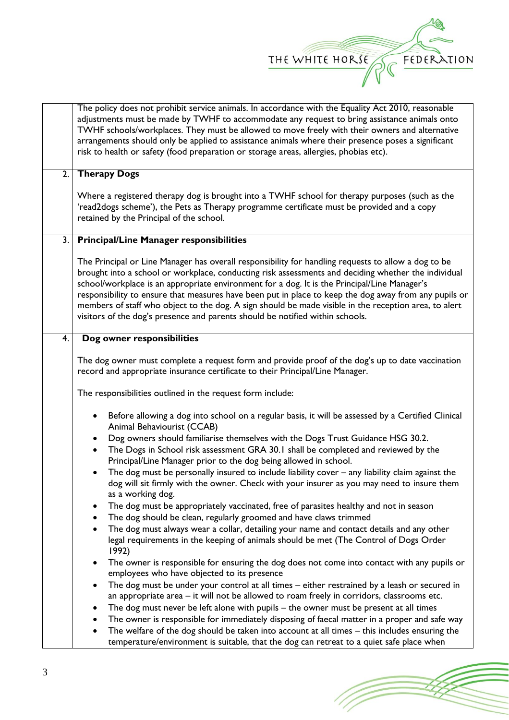

| The policy does not prohibit service animals. In accordance with the Equality Act 2010, reasonable<br>adjustments must be made by TWHF to accommodate any request to bring assistance animals onto<br>TWHF schools/workplaces. They must be allowed to move freely with their owners and alternative<br>arrangements should only be applied to assistance animals where their presence poses a significant<br>risk to health or safety (food preparation or storage areas, allergies, phobias etc).                                                                                                           |  |  |
|---------------------------------------------------------------------------------------------------------------------------------------------------------------------------------------------------------------------------------------------------------------------------------------------------------------------------------------------------------------------------------------------------------------------------------------------------------------------------------------------------------------------------------------------------------------------------------------------------------------|--|--|
| <b>Therapy Dogs</b>                                                                                                                                                                                                                                                                                                                                                                                                                                                                                                                                                                                           |  |  |
| Where a registered therapy dog is brought into a TWHF school for therapy purposes (such as the<br>'read2dogs scheme'), the Pets as Therapy programme certificate must be provided and a copy<br>retained by the Principal of the school.                                                                                                                                                                                                                                                                                                                                                                      |  |  |
| <b>Principal/Line Manager responsibilities</b><br>$\overline{3}$ .                                                                                                                                                                                                                                                                                                                                                                                                                                                                                                                                            |  |  |
| The Principal or Line Manager has overall responsibility for handling requests to allow a dog to be<br>brought into a school or workplace, conducting risk assessments and deciding whether the individual<br>school/workplace is an appropriate environment for a dog. It is the Principal/Line Manager's<br>responsibility to ensure that measures have been put in place to keep the dog away from any pupils or<br>members of staff who object to the dog. A sign should be made visible in the reception area, to alert<br>visitors of the dog's presence and parents should be notified within schools. |  |  |
| Dog owner responsibilities                                                                                                                                                                                                                                                                                                                                                                                                                                                                                                                                                                                    |  |  |
| The dog owner must complete a request form and provide proof of the dog's up to date vaccination<br>record and appropriate insurance certificate to their Principal/Line Manager.                                                                                                                                                                                                                                                                                                                                                                                                                             |  |  |
| The responsibilities outlined in the request form include:                                                                                                                                                                                                                                                                                                                                                                                                                                                                                                                                                    |  |  |
| Before allowing a dog into school on a regular basis, it will be assessed by a Certified Clinical<br>Animal Behaviourist (CCAB)                                                                                                                                                                                                                                                                                                                                                                                                                                                                               |  |  |
| Dog owners should familiarise themselves with the Dogs Trust Guidance HSG 30.2.<br>$\bullet$<br>The Dogs in School risk assessment GRA 30.1 shall be completed and reviewed by the<br>Principal/Line Manager prior to the dog being allowed in school.                                                                                                                                                                                                                                                                                                                                                        |  |  |
| The dog must be personally insured to include liability cover - any liability claim against the<br>dog will sit firmly with the owner. Check with your insurer as you may need to insure them<br>as a working dog.                                                                                                                                                                                                                                                                                                                                                                                            |  |  |
| The dog must be appropriately vaccinated, free of parasites healthy and not in season<br>٠                                                                                                                                                                                                                                                                                                                                                                                                                                                                                                                    |  |  |
| The dog should be clean, regularly groomed and have claws trimmed                                                                                                                                                                                                                                                                                                                                                                                                                                                                                                                                             |  |  |
| The dog must always wear a collar, detailing your name and contact details and any other<br>legal requirements in the keeping of animals should be met (The Control of Dogs Order<br>1992)                                                                                                                                                                                                                                                                                                                                                                                                                    |  |  |
| The owner is responsible for ensuring the dog does not come into contact with any pupils or<br>$\bullet$<br>employees who have objected to its presence                                                                                                                                                                                                                                                                                                                                                                                                                                                       |  |  |
| The dog must be under your control at all times - either restrained by a leash or secured in<br>٠<br>an appropriate area – it will not be allowed to roam freely in corridors, classrooms etc.                                                                                                                                                                                                                                                                                                                                                                                                                |  |  |
| The dog must never be left alone with pupils - the owner must be present at all times                                                                                                                                                                                                                                                                                                                                                                                                                                                                                                                         |  |  |
| The owner is responsible for immediately disposing of faecal matter in a proper and safe way                                                                                                                                                                                                                                                                                                                                                                                                                                                                                                                  |  |  |
| The welfare of the dog should be taken into account at all times - this includes ensuring the<br>temperature/environment is suitable, that the dog can retreat to a quiet safe place when                                                                                                                                                                                                                                                                                                                                                                                                                     |  |  |
|                                                                                                                                                                                                                                                                                                                                                                                                                                                                                                                                                                                                               |  |  |

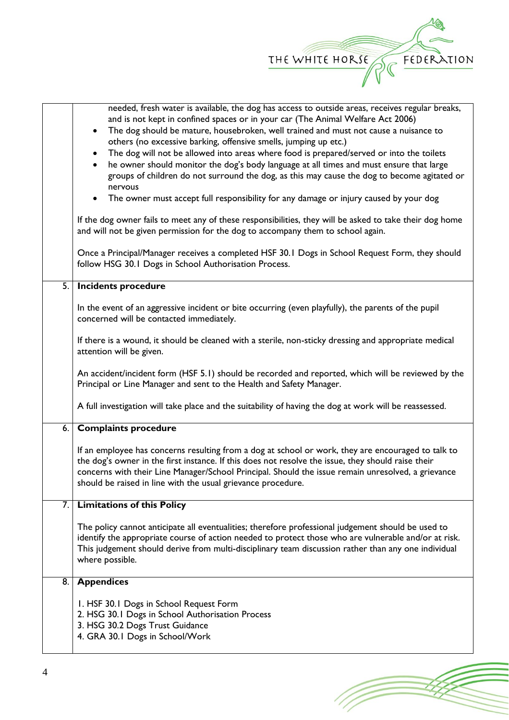

|    | needed, fresh water is available, the dog has access to outside areas, receives regular breaks,                                                                       |  |  |
|----|-----------------------------------------------------------------------------------------------------------------------------------------------------------------------|--|--|
|    | and is not kept in confined spaces or in your car (The Animal Welfare Act 2006)                                                                                       |  |  |
|    | The dog should be mature, housebroken, well trained and must not cause a nuisance to<br>$\bullet$<br>others (no excessive barking, offensive smells, jumping up etc.) |  |  |
|    | The dog will not be allowed into areas where food is prepared/served or into the toilets<br>$\bullet$                                                                 |  |  |
|    | he owner should monitor the dog's body language at all times and must ensure that large                                                                               |  |  |
|    | groups of children do not surround the dog, as this may cause the dog to become agitated or                                                                           |  |  |
|    | nervous                                                                                                                                                               |  |  |
|    | • The owner must accept full responsibility for any damage or injury caused by your dog                                                                               |  |  |
|    | If the dog owner fails to meet any of these responsibilities, they will be asked to take their dog home                                                               |  |  |
|    | and will not be given permission for the dog to accompany them to school again.                                                                                       |  |  |
|    | Once a Principal/Manager receives a completed HSF 30.1 Dogs in School Request Form, they should                                                                       |  |  |
|    | follow HSG 30.1 Dogs in School Authorisation Process.                                                                                                                 |  |  |
| 5. | <b>Incidents procedure</b>                                                                                                                                            |  |  |
|    |                                                                                                                                                                       |  |  |
|    | In the event of an aggressive incident or bite occurring (even playfully), the parents of the pupil<br>concerned will be contacted immediately.                       |  |  |
|    |                                                                                                                                                                       |  |  |
|    | If there is a wound, it should be cleaned with a sterile, non-sticky dressing and appropriate medical                                                                 |  |  |
|    | attention will be given.                                                                                                                                              |  |  |
|    |                                                                                                                                                                       |  |  |
|    | An accident/incident form (HSF 5.1) should be recorded and reported, which will be reviewed by the                                                                    |  |  |
|    | Principal or Line Manager and sent to the Health and Safety Manager.                                                                                                  |  |  |
|    | A full investigation will take place and the suitability of having the dog at work will be reassessed.                                                                |  |  |
|    |                                                                                                                                                                       |  |  |
| 6. | <b>Complaints procedure</b>                                                                                                                                           |  |  |
|    | If an employee has concerns resulting from a dog at school or work, they are encouraged to talk to                                                                    |  |  |
|    | the dog's owner in the first instance. If this does not resolve the issue, they should raise their                                                                    |  |  |
|    | concerns with their Line Manager/School Principal. Should the issue remain unresolved, a grievance                                                                    |  |  |
|    | should be raised in line with the usual grievance procedure.                                                                                                          |  |  |
|    |                                                                                                                                                                       |  |  |
| 7. | <b>Limitations of this Policy</b>                                                                                                                                     |  |  |
|    | The policy cannot anticipate all eventualities; therefore professional judgement should be used to                                                                    |  |  |
|    | identify the appropriate course of action needed to protect those who are vulnerable and/or at risk.                                                                  |  |  |
|    | This judgement should derive from multi-disciplinary team discussion rather than any one individual                                                                   |  |  |
|    | where possible.                                                                                                                                                       |  |  |
| 8. | <b>Appendices</b>                                                                                                                                                     |  |  |
|    |                                                                                                                                                                       |  |  |
|    | I. HSF 30.1 Dogs in School Request Form                                                                                                                               |  |  |
|    | 2. HSG 30.1 Dogs in School Authorisation Process                                                                                                                      |  |  |
|    | 3. HSG 30.2 Dogs Trust Guidance                                                                                                                                       |  |  |
|    | 4. GRA 30.1 Dogs in School/Work                                                                                                                                       |  |  |
|    |                                                                                                                                                                       |  |  |